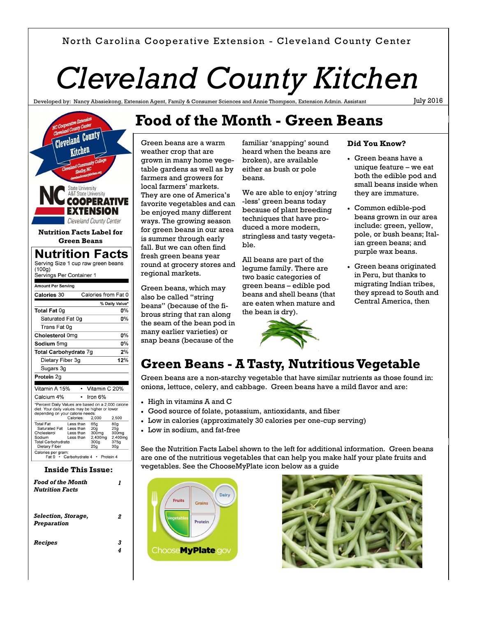### North Carolina Cooperative Extension - Cleveland County Center

# *Cleveland County Kitchen*

Developed by: Nancy Abasiekong, Extension Agent, Family & Consumer Sciences and Annie Thompson, Extension Admin. Assistant

July 2016



*Selection, Storage, Preparation*

*Recipes 3*

*2*

*4*

# **Food of the Month - Green Beans**

Green beans are a warm weather crop that are grown in many home vegetable gardens as well as by farmers and growers for local farmers' markets. They are one of America's favorite vegetables and can be enjoyed many different ways. The growing season for green beans in our area is summer through early fall. But we can often find fresh green beans year round at grocery stores and regional markets.

Green beans, which may also be called "string beans" (because of the fibrous string that ran along the seam of the bean pod in many earlier varieties) or snap beans (because of the

familiar 'snapping' sound heard when the beans are broken), are available either as bush or pole beans.

We are able to enjoy 'string -less' green beans today because of plant breeding techniques that have produced a more modern, stringless and tasty vegetable.

All beans are part of the legume family. There are two basic categories of green beans – edible pod beans and shell beans (that are eaten when mature and the bean is dry).



#### **Did You Know?**

- Green beans have a unique feature – we eat both the edible pod and small beans inside when they are immature.
- Common edible-pod beans grown in our area include: green, yellow, pole, or bush beans; Italian green beans; and purple wax beans.
- Green beans originated in Peru, but thanks to migrating Indian tribes, they spread to South and Central America, then

# **Green Beans - A Tasty, Nutritious Vegetable**

Green beans are a non-starchy vegetable that have similar nutrients as those found in: onions, lettuce, celery, and cabbage. Green beans have a mild flavor and are:

- High in vitamins A and C
- Good source of folate, potassium, antioxidants, and fiber
- Low in calories (approximately 30 calories per one-cup serving)
- Low in sodium, and fat-free

See the Nutrition Facts Label shown to the left for additional information. Green beans are one of the nutritious vegetables that can help you make half your plate fruits and vegetables. See the ChooseMyPlate icon below as a guide



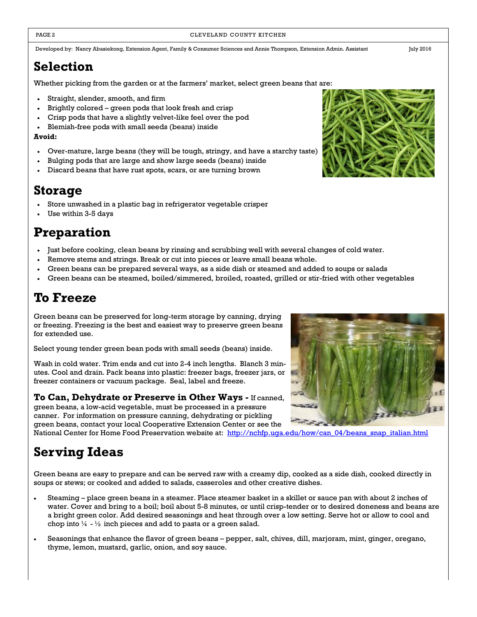PAGE 2 CLEVELAND COUNTY KITCHEN

Developed by: Nancy Abasiekong, Extension Agent, Family & Consumer Sciences and Annie Thompson, Extension Admin. Assistant July 2016

# **Selection**

Whether picking from the garden or at the farmers' market, select green beans that are:

- Straight, slender, smooth, and firm
- Brightly colored green pods that look fresh and crisp
- Crisp pods that have a slightly velvet-like feel over the pod
- Blemish-free pods with small seeds (beans) inside

#### **Avoid:**

- Over-mature, large beans (they will be tough, stringy, and have a starchy taste)
- Bulging pods that are large and show large seeds (beans) inside
- Discard beans that have rust spots, scars, or are turning brown

# **Storage**

- Store unwashed in a plastic bag in refrigerator vegetable crisper
- Use within 3-5 days

# **Preparation**

- Just before cooking, clean beans by rinsing and scrubbing well with several changes of cold water.
- Remove stems and strings. Break or cut into pieces or leave small beans whole.
- Green beans can be prepared several ways, as a side dish or steamed and added to soups or salads
- Green beans can be steamed, boiled/simmered, broiled, roasted, grilled or stir-fried with other vegetables

# **To Freeze**

Green beans can be preserved for long-term storage by canning, drying or freezing. Freezing is the best and easiest way to preserve green beans for extended use.

Select young tender green bean pods with small seeds (beans) inside.

Wash in cold water. Trim ends and cut into 2-4 inch lengths. Blanch 3 minutes. Cool and drain. Pack beans into plastic: freezer bags, freezer jars, or freezer containers or vacuum package. Seal, label and freeze.

**To Can, Dehydrate or Preserve in Other Ways -** If canned, green beans, a low-acid vegetable, must be processed in a pressure canner. For information on pressure canning, dehydrating or pickling

green beans, contact your local Cooperative Extension Center or see the National Center for Home Food Preservation website at: [http://nchfp.uga.edu/how/can\\_04/beans\\_snap\\_italian.html](http://nchfp.uga.edu/how/can_04/beans_snap_italian.html)

# **Serving Ideas**

Green beans are easy to prepare and can be served raw with a creamy dip, cooked as a side dish, cooked directly in soups or stews; or cooked and added to salads, casseroles and other creative dishes.

- Steaming place green beans in a steamer. Place steamer basket in a skillet or sauce pan with about 2 inches of water. Cover and bring to a boil; boil about 5-8 minutes, or until crisp-tender or to desired doneness and beans are a bright green color. Add desired seasonings and heat through over a low setting. Serve hot or allow to cool and chop into  $\frac{1}{4}$  -  $\frac{1}{2}$  inch pieces and add to pasta or a green salad.
- Seasonings that enhance the flavor of green beans pepper, salt, chives, dill, marjoram, mint, ginger, oregano, thyme, lemon, mustard, garlic, onion, and soy sauce.



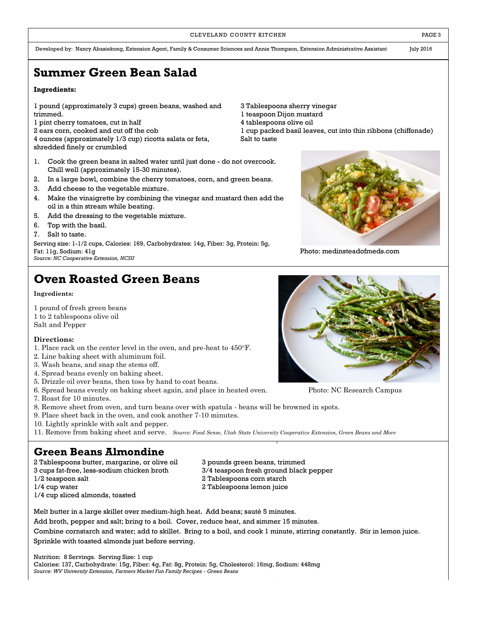#### CLEVELAND COUNTY KITCHEN **EXECUTE A RESISTENT COUNTY KITCHEN**

Developed by: Nancy Abasiekong, Extension Agent, Family & Consumer Sciences and Annie Thompson, Extension Administrative Assistant July 2016

# **Summer Green Bean Salad**

#### **Ingredients:**

1 pound (approximately 3 cups) green beans, washed and trimmed.

- 1 pint cherry tomatoes, cut in half
- 2 ears corn, cooked and cut off the cob

4 ounces (approximately 1/3 cup) ricotta salata or feta, shredded finely or crumbled

- 1. Cook the green beans in salted water until just done do not overcook. Chill well (approximately 15-30 minutes).
- 2. In a large bowl, combine the cherry tomatoes, corn, and green beans.
- 3. Add cheese to the vegetable mixture.
- 4. Make the vinaigrette by combining the vinegar and mustard then add the oil in a thin stream while beating.
- 5. Add the dressing to the vegetable mixture.
- 6. Top with the basil.
- 7. Salt to taste.

Serving size: 1-1/2 cups, Calories: 169, Carbohydrates: 14g, Fiber: 3g, Protein: 5g, Fat: 11g, Sodium: 41g Photo: medinsteadofmeds.com *Source: NC Cooperative Extension, NCSU*

# **Oven Roasted Green Beans**

#### **Ingredients:**

1 pound of fresh green beans 1 to 2 tablespoons olive oil Salt and Pepper

#### **Directions:**

- 1. Place rack on the center level in the oven, and pre-heat to 450°F.
- 2. Line baking sheet with aluminum foil.
- 3. Wash beans, and snap the stems off.
- 4. Spread beans evenly on baking sheet.
- 5. Drizzle oil over beans, then toss by hand to coat beans.
- 6. Spread beans evenly on baking sheet again, and place in heated oven. Photo: NC Research Campus
- 7. Roast for 10 minutes.
- 8. Remove sheet from oven, and turn beans over with spatula beans will be browned in spots.
- 9. Place sheet back in the oven, and cook another 7-10 minutes.
- 10. Lightly sprinkle with salt and pepper.

11. Remove from baking sheet and serve. *Source: Food Sense, Utah State University Cooperative Extension, Green Beans and More*

## **Green Beans Almondine**

2 Tablespoons butter, margarine, or olive oil 3 pounds green beans, trimmed

- 
- 

1/4 cup sliced almonds, toasted

3 cups fat-free, less-sodium chicken broth 3/4 teaspoon fresh ground black pepper 1/2 teaspoon salt 2 Tablespoons corn starch 1/4 cup water 2 Tablespoons lemon juice

Melt butter in a large skillet over medium-high heat. Add beans; sauté 5 minutes.

Add broth, pepper and salt; bring to a boil. Cover, reduce heat, and simmer 15 minutes.

Combine cornstarch and water; add to skillet. Bring to a boil, and cook 1 minute, stirring constantly. Stir in lemon juice. Sprinkle with toasted almonds just before serving.

Nutrition: 8 Servings. Serving Size: 1 cup

Calories: 137, Carbohydrate: 15g, Fiber: 4g, Fat: 8g, Protein: 5g, Cholesterol: 16mg, Sodium: 448mg *Source: WV University Extension, Farmers Market Fun Family Recipes - Green Beans*

#### 3 Tablespoons sherry vinegar

- 1 teaspoon Dijon mustard
- 4 tablespoons olive oil

1 cup packed basil leaves, cut into thin ribbons (chiffonade) Salt to taste